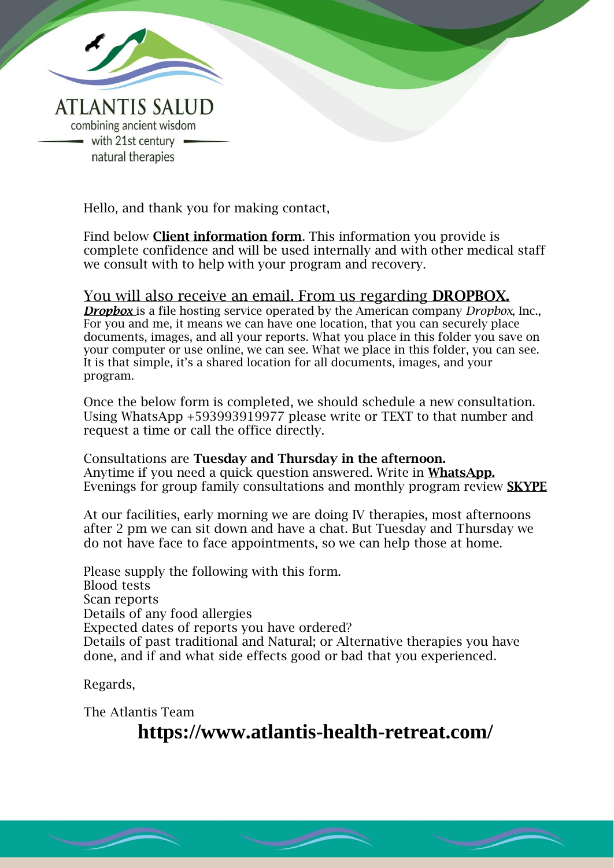

Hello, and thank you for making contact,

Find below Client information form. This information you provide is complete confidence and will be used internally and with other medical staff we consult with to help with your program and recovery.

In Confidence

### You will also receive an email. From us regarding DROPBOX.

*Dropbox* is a file hosting service operated by the American company *Dropbox*, Inc., For you and me, it means we can have one location, that you can securely place documents, images, and all your reports. What you place in this folder you save on your computer or use online, we can see. What we place in this folder, you can see. It is that simple, it's a shared location for all documents, images, and your program.

Once the below form is completed, we should schedule a new consultation. Using WhatsApp +593993919977 please write or TEXT to that number and request a time or call the office directly.

Consultations are Tuesday and Thursday in the afternoon. Anytime if you need a quick question answered. Write in **WhatsApp.** Evenings for group family consultations and monthly program review SKYPE

At our facilities, early morning we are doing IV therapies, most afternoons after 2 pm we can sit down and have a chat. But Tuesday and Thursday we do not have face to face appointments, so we can help those at home.

Please supply the following with this form. Blood tests Scan reports Details of any food allergies Expected dates of reports you have ordered? Details of past traditional and Natural; or Alternative therapies you have done, and if and what side effects good or bad that you experienced.

Regards,

The Atlantis Team

**https://www.atlantis-health-retreat.com/**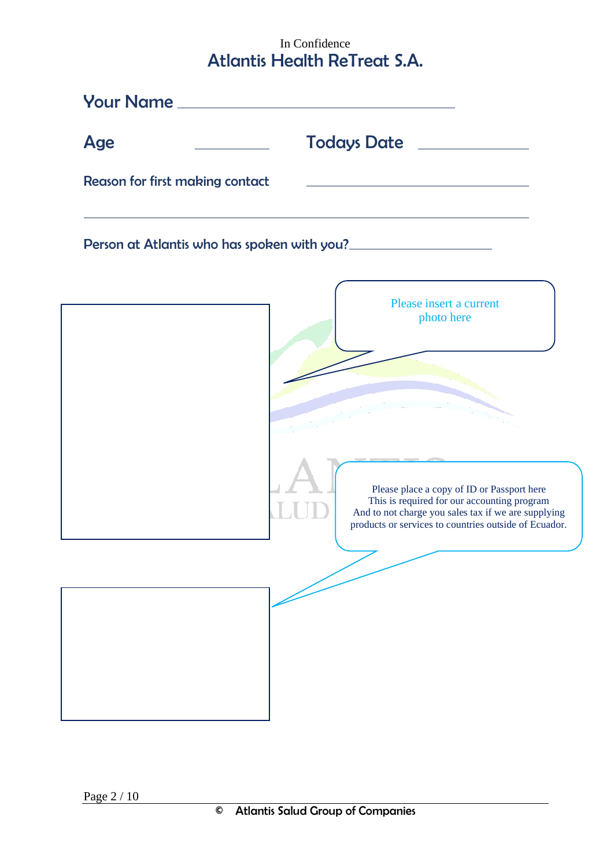## In Confidence Atlantis Health ReTreat S.A.

|                                 | <b>Your Name</b> ________________________                                                                                                                                                                 |
|---------------------------------|-----------------------------------------------------------------------------------------------------------------------------------------------------------------------------------------------------------|
| <b>Age</b>                      |                                                                                                                                                                                                           |
| Reason for first making contact |                                                                                                                                                                                                           |
|                                 | Person at Atlantis who has spoken with you?                                                                                                                                                               |
|                                 | Please insert a current<br>photo here                                                                                                                                                                     |
|                                 |                                                                                                                                                                                                           |
|                                 | Please place a copy of ID or Passport here<br>This is required for our accounting program<br>And to not charge you sales tax if we are supplying<br>products or services to countries outside of Ecuador. |
|                                 |                                                                                                                                                                                                           |
|                                 |                                                                                                                                                                                                           |
|                                 |                                                                                                                                                                                                           |
|                                 |                                                                                                                                                                                                           |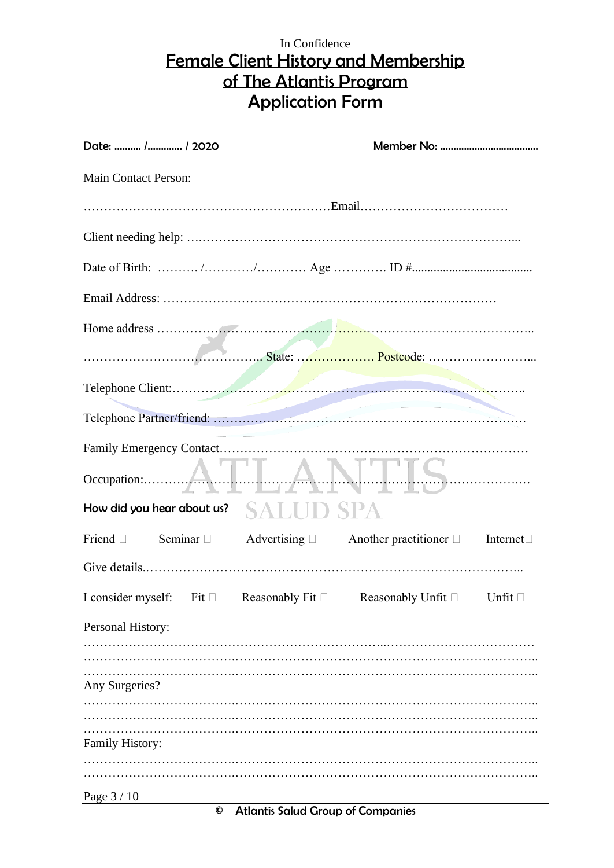## In Confidence Female Client History and Membership of The Atlantis Program Application Form

| Date:  / / 2020             |                                       |                                                                                                            |  |
|-----------------------------|---------------------------------------|------------------------------------------------------------------------------------------------------------|--|
| <b>Main Contact Person:</b> |                                       |                                                                                                            |  |
|                             |                                       |                                                                                                            |  |
|                             |                                       |                                                                                                            |  |
|                             |                                       |                                                                                                            |  |
|                             |                                       |                                                                                                            |  |
|                             |                                       |                                                                                                            |  |
|                             |                                       |                                                                                                            |  |
|                             |                                       |                                                                                                            |  |
|                             |                                       |                                                                                                            |  |
|                             |                                       |                                                                                                            |  |
|                             |                                       | Occupation: ATLANTS                                                                                        |  |
|                             | How did you hear about us? $SALUDSPA$ |                                                                                                            |  |
|                             |                                       | Friend $\square$ Seminar $\square$ Advertising $\square$ Another practitioner $\square$ Internet $\square$ |  |
|                             |                                       |                                                                                                            |  |
|                             |                                       | I consider myself: Fit $\Box$ Reasonably Fit $\Box$ Reasonably Unfit $\Box$ Unfit $\Box$                   |  |
| Personal History:           |                                       |                                                                                                            |  |
|                             |                                       |                                                                                                            |  |
| Any Surgeries?              |                                       |                                                                                                            |  |
|                             |                                       |                                                                                                            |  |
| Family History:             |                                       |                                                                                                            |  |
|                             |                                       |                                                                                                            |  |
| Page 3 / 10                 |                                       |                                                                                                            |  |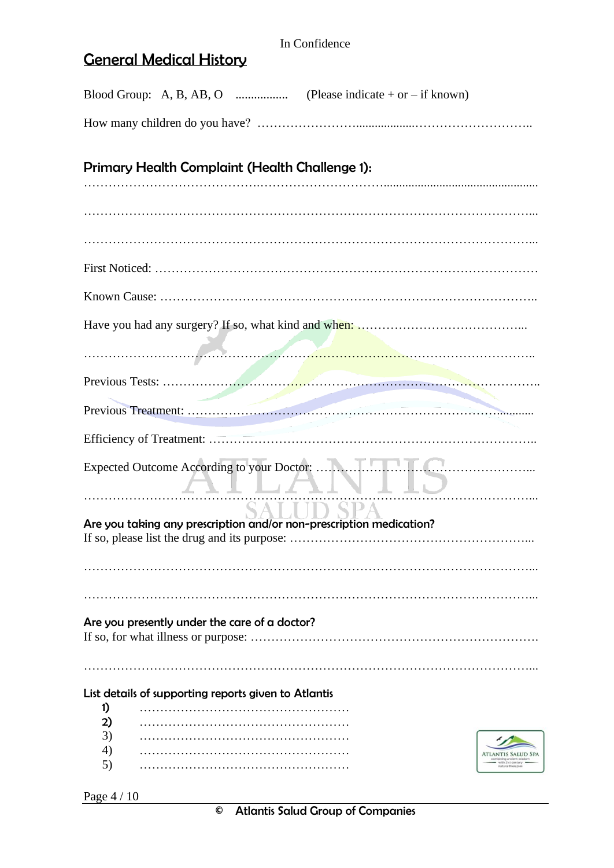# General Medical History

| Primary Health Complaint (Health Challenge 1):                      |                           |  |
|---------------------------------------------------------------------|---------------------------|--|
|                                                                     |                           |  |
|                                                                     |                           |  |
|                                                                     |                           |  |
|                                                                     |                           |  |
|                                                                     |                           |  |
|                                                                     |                           |  |
|                                                                     |                           |  |
|                                                                     |                           |  |
|                                                                     |                           |  |
|                                                                     |                           |  |
|                                                                     |                           |  |
|                                                                     | TILITIN I IO<br>SALUD SPA |  |
| Are you taking any prescription and/or non-prescription medication? |                           |  |
|                                                                     |                           |  |
|                                                                     |                           |  |
|                                                                     |                           |  |
| Are you presently under the care of a doctor?                       |                           |  |
|                                                                     |                           |  |
| List details of supporting reports given to Atlantis                |                           |  |
| 1)                                                                  |                           |  |
| 2)                                                                  |                           |  |
| 3)                                                                  |                           |  |
| 4)                                                                  |                           |  |
| 5)                                                                  |                           |  |
|                                                                     |                           |  |

Page 4 / 10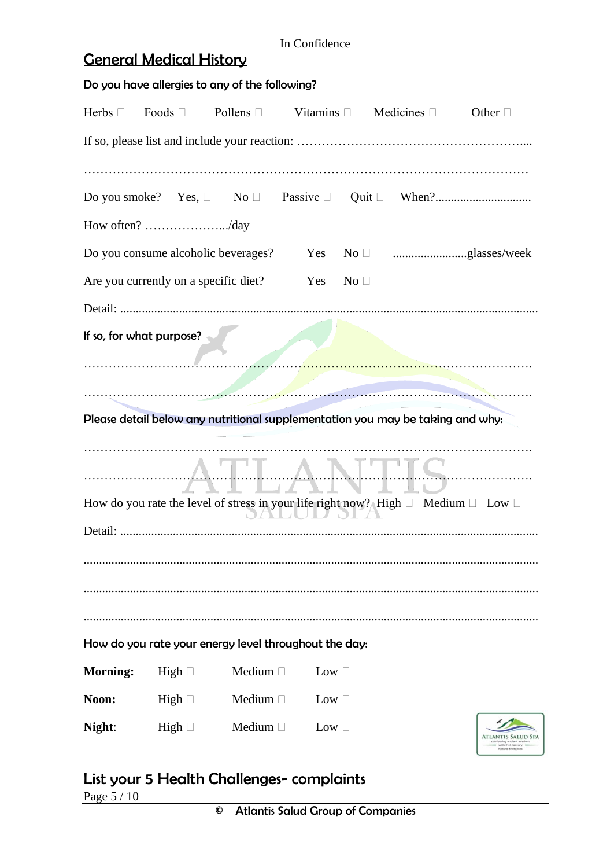# General Medical History

| Do you have allergies to any of the following? |                                                                                                  |               |               |              |  |  |                                  |  |  |  |
|------------------------------------------------|--------------------------------------------------------------------------------------------------|---------------|---------------|--------------|--|--|----------------------------------|--|--|--|
| Herbs $\square$                                | Foods $\Box$ Pollens $\Box$ Vitamins $\Box$ Medicines $\Box$                                     |               |               |              |  |  | Other $\Box$                     |  |  |  |
|                                                |                                                                                                  |               |               |              |  |  |                                  |  |  |  |
|                                                |                                                                                                  |               |               |              |  |  |                                  |  |  |  |
|                                                |                                                                                                  |               |               |              |  |  |                                  |  |  |  |
|                                                | How often? /day                                                                                  |               |               |              |  |  |                                  |  |  |  |
|                                                |                                                                                                  |               |               |              |  |  |                                  |  |  |  |
|                                                | Are you currently on a specific diet?                                                            |               | Yes           | No $\square$ |  |  |                                  |  |  |  |
|                                                |                                                                                                  |               |               |              |  |  |                                  |  |  |  |
|                                                | If so, for what purpose?                                                                         |               |               |              |  |  |                                  |  |  |  |
|                                                |                                                                                                  |               |               |              |  |  |                                  |  |  |  |
|                                                |                                                                                                  |               |               |              |  |  |                                  |  |  |  |
|                                                | Please detail below any nutritional supplementation you may be taking and why:                   |               |               |              |  |  |                                  |  |  |  |
|                                                |                                                                                                  |               |               |              |  |  |                                  |  |  |  |
|                                                |                                                                                                  | <b>MARA</b>   |               |              |  |  |                                  |  |  |  |
|                                                | How do you rate the level of stress in your life right now? High $\Box$ Medium $\Box$ Low $\Box$ | NE LIZNE      |               |              |  |  |                                  |  |  |  |
|                                                |                                                                                                  |               |               |              |  |  |                                  |  |  |  |
|                                                |                                                                                                  |               |               |              |  |  |                                  |  |  |  |
|                                                |                                                                                                  |               |               |              |  |  |                                  |  |  |  |
|                                                |                                                                                                  |               |               |              |  |  |                                  |  |  |  |
|                                                | How do you rate your energy level throughout the day:                                            |               |               |              |  |  |                                  |  |  |  |
| <b>Morning:</b>                                |                                                                                                  | Medium $\Box$ | Low $\square$ |              |  |  |                                  |  |  |  |
|                                                | High $\Box$                                                                                      |               |               |              |  |  |                                  |  |  |  |
| Noon:                                          | High $\Box$                                                                                      | Medium $\Box$ | Low $\square$ |              |  |  |                                  |  |  |  |
| Night:                                         | High $\square$                                                                                   | Medium $\Box$ | Low $\square$ |              |  |  | rith 21st contr<br>atural therap |  |  |  |

# List your 5 Health Challenges- complaints

Page 5 / 10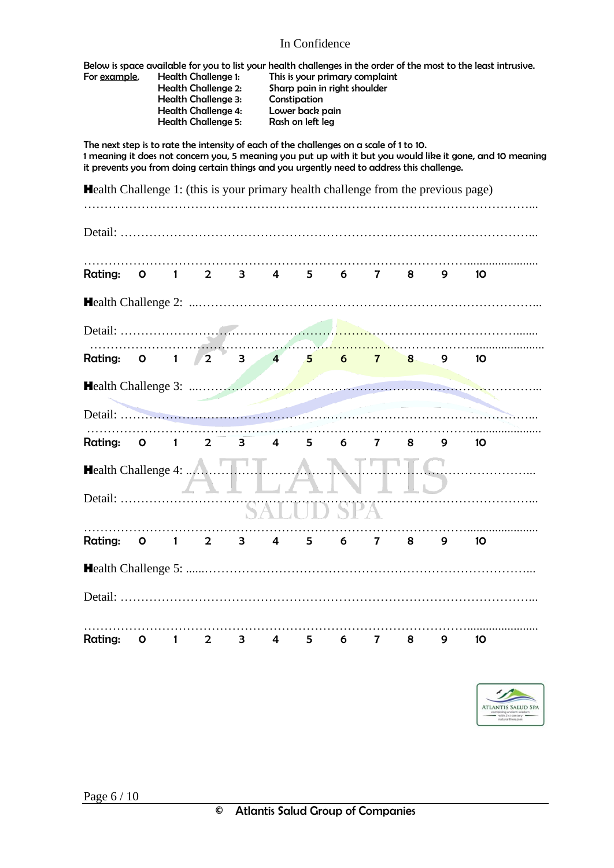## In Confidence

| For example,                                                                                                                                                                                                                                                                                        |             | <b>Health Challenge 1:</b><br><b>Health Challenge 2:</b><br>Health Challenge 3:<br><b>Health Challenge 4:</b><br><b>Health Challenge 5:</b> |                         | Below is space available for you to list your health challenges in the order of the most to the least intrusive.<br>This is your primary complaint<br>Sharp pain in right shoulder<br>Constipation<br>Lower back pain<br>Rash on left leg |   |   |   |          |   |    |  |
|-----------------------------------------------------------------------------------------------------------------------------------------------------------------------------------------------------------------------------------------------------------------------------------------------------|-------------|---------------------------------------------------------------------------------------------------------------------------------------------|-------------------------|-------------------------------------------------------------------------------------------------------------------------------------------------------------------------------------------------------------------------------------------|---|---|---|----------|---|----|--|
| The next step is to rate the intensity of each of the challenges on a scale of 1 to 10.<br>1 meaning it does not concern you, 5 meaning you put up with it but you would like it gone, and 10 meaning<br>it prevents you from doing certain things and you urgently need to address this challenge. |             |                                                                                                                                             |                         |                                                                                                                                                                                                                                           |   |   |   |          |   |    |  |
| <b>Health</b> Challenge 1: (this is your primary health challenge from the previous page)                                                                                                                                                                                                           |             |                                                                                                                                             |                         |                                                                                                                                                                                                                                           |   |   |   |          |   |    |  |
|                                                                                                                                                                                                                                                                                                     |             |                                                                                                                                             |                         |                                                                                                                                                                                                                                           |   |   |   |          |   |    |  |
| Rating:                                                                                                                                                                                                                                                                                             |             | 0 1 2 3 4 5 6 7 8                                                                                                                           |                         |                                                                                                                                                                                                                                           |   |   |   |          | 9 | 10 |  |
|                                                                                                                                                                                                                                                                                                     |             |                                                                                                                                             |                         |                                                                                                                                                                                                                                           |   |   |   |          |   |    |  |
|                                                                                                                                                                                                                                                                                                     |             |                                                                                                                                             |                         |                                                                                                                                                                                                                                           |   |   |   |          |   |    |  |
| Rating: 0 1 2 3 4 5 6 7                                                                                                                                                                                                                                                                             |             |                                                                                                                                             |                         |                                                                                                                                                                                                                                           |   |   |   | $\bf{8}$ | 9 | 10 |  |
|                                                                                                                                                                                                                                                                                                     |             |                                                                                                                                             |                         |                                                                                                                                                                                                                                           |   |   |   |          |   |    |  |
|                                                                                                                                                                                                                                                                                                     |             |                                                                                                                                             |                         |                                                                                                                                                                                                                                           |   |   |   |          |   |    |  |
| Rating:                                                                                                                                                                                                                                                                                             | $0 \quad 1$ | $\mathbf{2}$                                                                                                                                | $\overline{\mathbf{3}}$ | $\overline{4}$                                                                                                                                                                                                                            | 5 | 6 | 7 | 8        | 9 | 10 |  |
| Health Challenge 4:                                                                                                                                                                                                                                                                                 |             |                                                                                                                                             |                         |                                                                                                                                                                                                                                           |   |   |   |          |   |    |  |
| Detail:                                                                                                                                                                                                                                                                                             |             |                                                                                                                                             |                         |                                                                                                                                                                                                                                           |   |   |   |          |   |    |  |
| Rating: 0 1 2 3 4 5 6 7 8 9 10                                                                                                                                                                                                                                                                      |             |                                                                                                                                             |                         |                                                                                                                                                                                                                                           |   |   |   |          |   |    |  |
|                                                                                                                                                                                                                                                                                                     |             |                                                                                                                                             |                         |                                                                                                                                                                                                                                           |   |   |   |          |   |    |  |
|                                                                                                                                                                                                                                                                                                     |             |                                                                                                                                             |                         |                                                                                                                                                                                                                                           |   |   |   |          |   |    |  |
| Rating: 0 1 2 3 4 5 6 7 8 9 10                                                                                                                                                                                                                                                                      |             |                                                                                                                                             |                         |                                                                                                                                                                                                                                           |   |   |   |          |   |    |  |

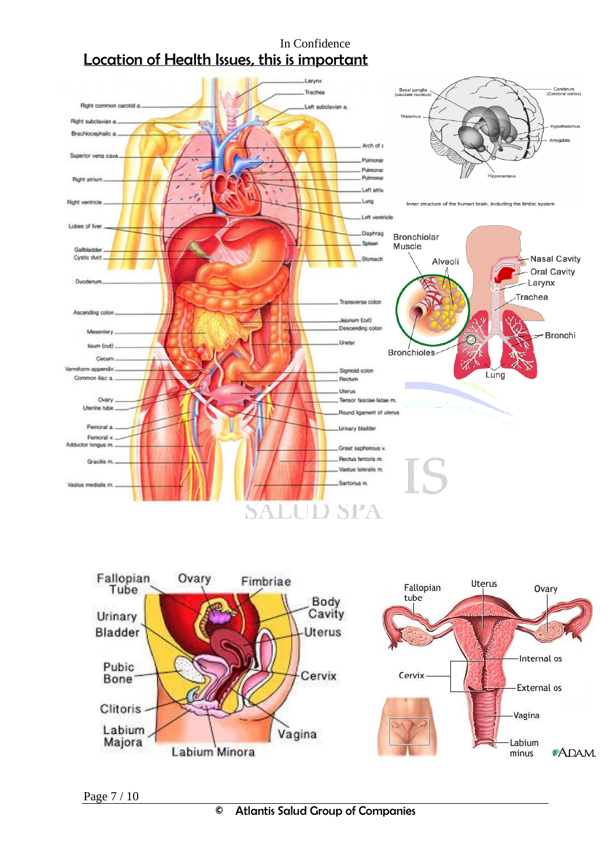## In Confidence Location of Health Issues, this is important



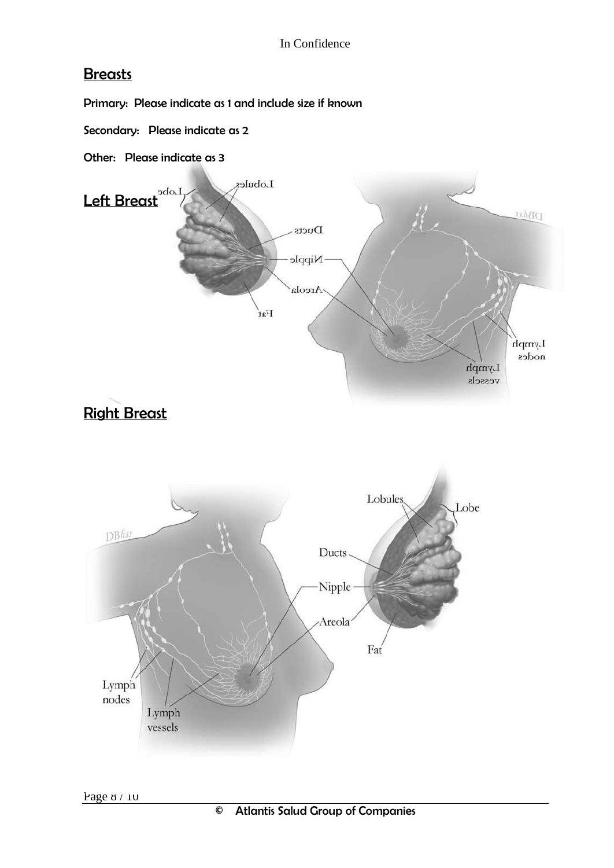## **Breasts**

Primary: Please indicate as 1 and include size if known

- Secondary: Please indicate as 2
- Other: Please indicate as 3



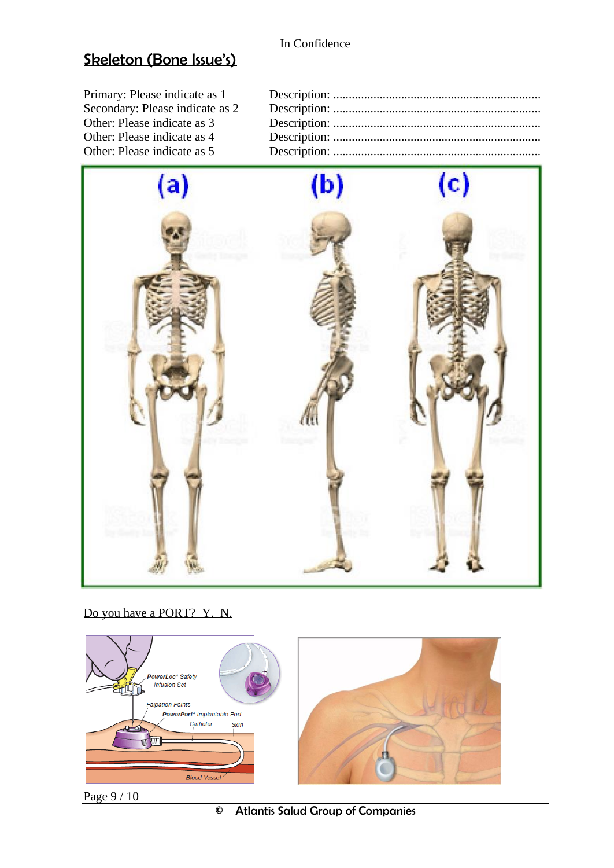## Skeleton (Bone Issue's)

Primary: Please indicate as 1 Description: ................................................................... Secondary: Please indicate as 2 Description: ................................................................... Other: Please indicate as 3 Description: ................................................................... Other: Please indicate as 4 Description: ................................................................... Other: Please indicate as 5 Description: ...................................................................



Do you have a PORT? Y. N.



Page 9 / 10

© Atlantis Salud Group of Companies